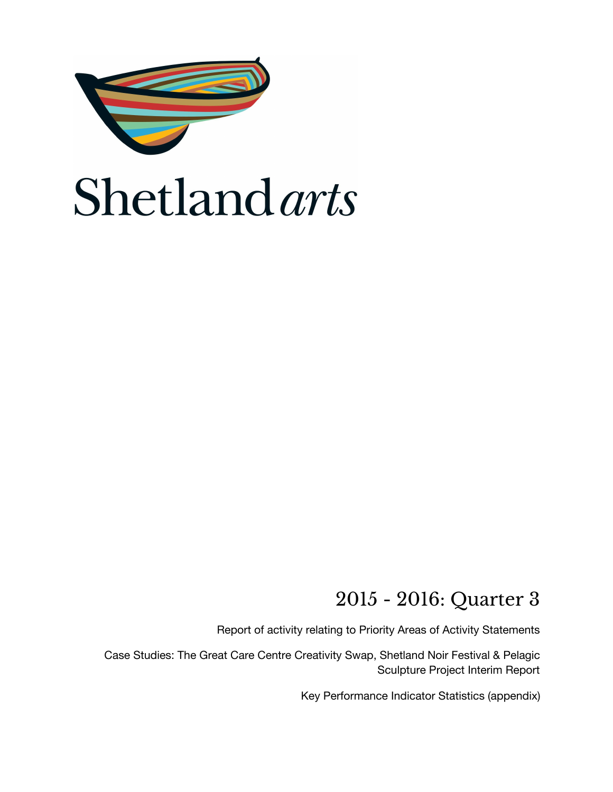

### 2015 - 2016: Quarter 3

Report of activity relating to Priority Areas of Activity Statements

Case Studies: The Great Care Centre Creativity Swap, Shetland Noir Festival & Pelagic Sculpture Project Interim Report

Key Performance Indicator Statistics (appendix)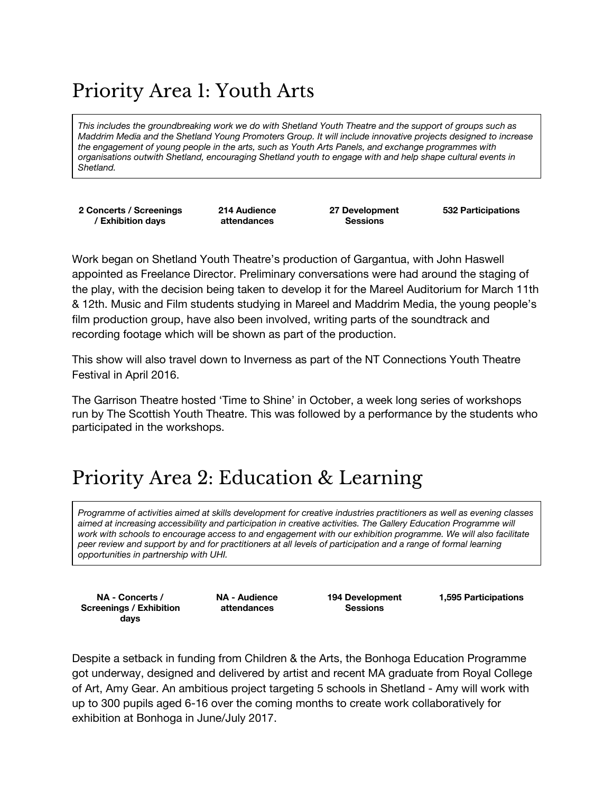## Priority Area 1: Youth Arts

This includes the groundbreaking work we do with Shetland Youth Theatre and the support of groups such as *Maddrim Media and the Shetland Young Promoters Group. It will include innovative projects designed to increase the engagement of young people in the arts, such as Youth Arts Panels, and exchange programmes with organisations outwith Shetland, encouraging Shetland youth to engage with and help shape cultural events in Shetland.*

**2 Concerts / Screenings / Exhibition days**

**214 Audience attendances**

**27 Development Sessions**

**532 Participations**

Work began on Shetland Youth Theatre's production of Gargantua, with John Haswell appointed as Freelance Director. Preliminary conversations were had around the staging of the play, with the decision being taken to develop it for the Mareel Auditorium for March 11th & 12th. Music and Film students studying in Mareel and Maddrim Media, the young people's film production group, have also been involved, writing parts of the soundtrack and recording footage which will be shown as part of the production.

This show will also travel down to Inverness as part of the NT Connections Youth Theatre Festival in April 2016.

The Garrison Theatre hosted 'Time to Shine' in October, a week long series of workshops run by The Scottish Youth Theatre. This was followed by a performance by the students who participated in the workshops.

### Priority Area 2: Education & Learning

Programme of activities aimed at skills development for creative industries practitioners as well as evening classes *aimed at increasing accessibility and participation in creative activities. The Gallery Education Programme will* work with schools to encourage access to and engagement with our exhibition programme. We will also facilitate peer review and support by and for practitioners at all levels of participation and a range of formal learning *opportunities in partnership with UHI.*

**NA - Concerts / Screenings / Exhibition days**

**NA - Audience attendances**

**194 Development Sessions**

**1,595 Participations**

Despite a setback in funding from Children & the Arts, the Bonhoga Education Programme got underway, designed and delivered by artist and recent MA graduate from Royal College of Art, Amy Gear. An ambitious project targeting 5 schools in Shetland - Amy will work with up to 300 pupils aged 6-16 over the coming months to create work collaboratively for exhibition at Bonhoga in June/July 2017.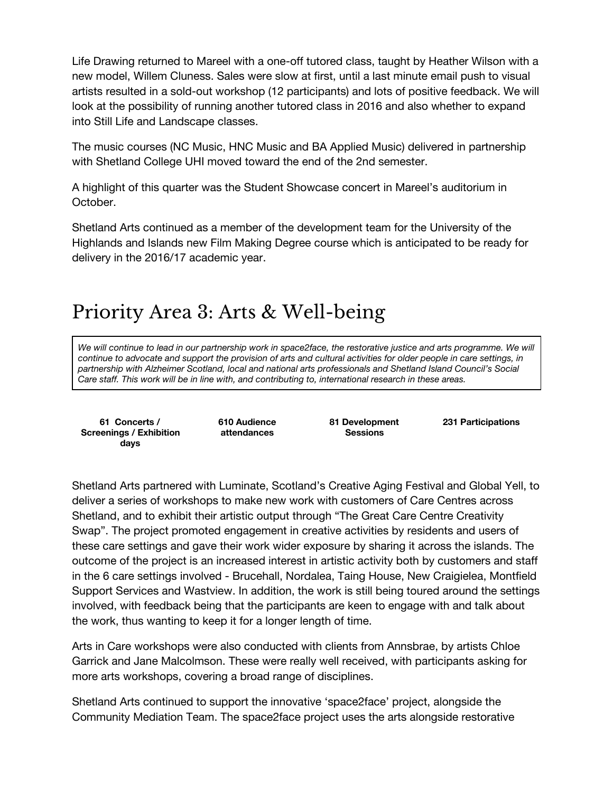Life Drawing returned to Mareel with a one-off tutored class, taught by Heather Wilson with a new model, Willem Cluness. Sales were slow at first, until a last minute email push to visual artists resulted in a sold-out workshop (12 participants) and lots of positive feedback. We will look at the possibility of running another tutored class in 2016 and also whether to expand into Still Life and Landscape classes.

The music courses (NC Music, HNC Music and BA Applied Music) delivered in partnership with Shetland College UHI moved toward the end of the 2nd semester.

A highlight of this quarter was the Student Showcase concert in Mareel's auditorium in October.

Shetland Arts continued as a member of the development team for the University of the Highlands and Islands new Film Making Degree course which is anticipated to be ready for delivery in the 2016/17 academic year.

## Priority Area 3: Arts & Well-being

We will continue to lead in our partnership work in space2face, the restorative justice and arts programme. We will continue to advocate and support the provision of arts and cultural activities for older people in care settings, in *partnership with Alzheimer Scotland, local and national arts professionals and Shetland Island Council's Social Care staff. This work will be in line with, and contributing to, international research in these areas.*

**61 Concerts / Screenings / Exhibition days**

**610 Audience attendances**

**81 Development Sessions**

**231 Participations**

Shetland Arts partnered with Luminate, Scotland's Creative Aging Festival and Global Yell, to deliver a series of workshops to make new work with customers of Care Centres across Shetland, and to exhibit their artistic output through "The Great Care Centre Creativity Swap". The project promoted engagement in creative activities by residents and users of these care settings and gave their work wider exposure by sharing it across the islands. The outcome of the project is an increased interest in artistic activity both by customers and staff in the 6 care settings involved - Brucehall, Nordalea, Taing House, New Craigielea, Montfield Support Services and Wastview. In addition, the work is still being toured around the settings involved, with feedback being that the participants are keen to engage with and talk about the work, thus wanting to keep it for a longer length of time.

Arts in Care workshops were also conducted with clients from Annsbrae, by artists Chloe Garrick and Jane Malcolmson. These were really well received, with participants asking for more arts workshops, covering a broad range of disciplines.

Shetland Arts continued to support the innovative 'space2face' project, alongside the Community Mediation Team. The space2face project uses the arts alongside restorative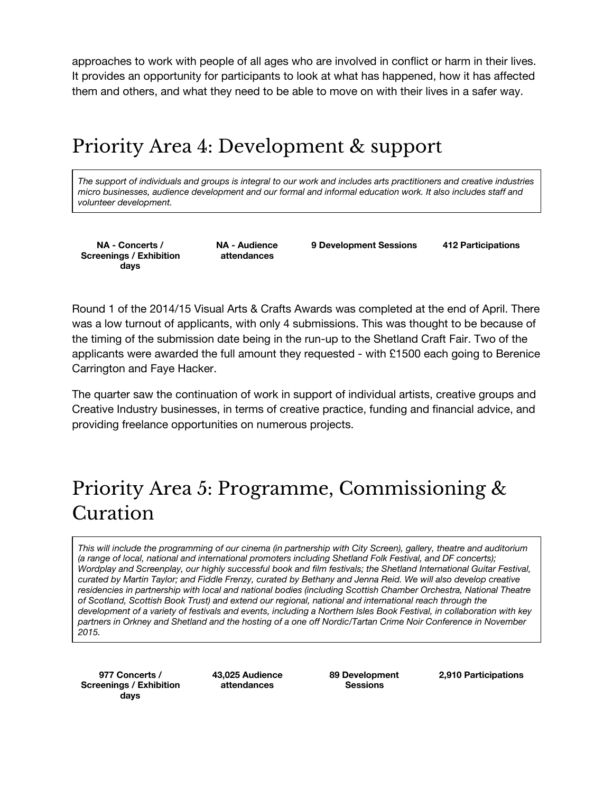approaches to work with people of all ages who are involved in conflict or harm in their lives. It provides an opportunity for participants to look at what has happened, how it has affected them and others, and what they need to be able to move on with their lives in a safer way.

### Priority Area 4: Development & support

The support of individuals and groups is integral to our work and includes arts practitioners and creative industries *micro businesses, audience development and our formal and informal education work. It also includes staff and volunteer development.*

**NA - Concerts / Screenings / Exhibition days**

**NA - Audience attendances**

**9 Development Sessions 412 Participations**

Round 1 of the 2014/15 Visual Arts & Crafts Awards was completed at the end of April. There was a low turnout of applicants, with only 4 submissions. This was thought to be because of the timing of the submission date being in the run-up to the Shetland Craft Fair. Two of the applicants were awarded the full amount they requested - with £1500 each going to Berenice Carrington and Faye Hacker.

The quarter saw the continuation of work in support of individual artists, creative groups and Creative Industry businesses, in terms of creative practice, funding and financial advice, and providing freelance opportunities on numerous projects.

## Priority Area 5: Programme, Commissioning & Curation

This will include the programming of our cinema (in partnership with City Screen), gallery, theatre and auditorium *(a range of local, national and international promoters including Shetland Folk Festival, and DF concerts); Wordplay and Screenplay, our highly successful book and film festivals; the Shetland International Guitar Festival,* curated by Martin Taylor; and Fiddle Frenzy, curated by Bethany and Jenna Reid. We will also develop creative *residencies in partnership with local and national bodies (including Scottish Chamber Orchestra, National Theatre of Scotland, Scottish Book Trust) and extend our regional, national and international reach through the* development of a variety of festivals and events, including a Northern Isles Book Festival, in collaboration with key partners in Orkney and Shetland and the hosting of a one off Nordic/Tartan Crime Noir Conference in November *2015.*

**977 Concerts / Screenings / Exhibition days**

**43,025 Audience attendances**

**89 Development Sessions**

**2,910 Participations**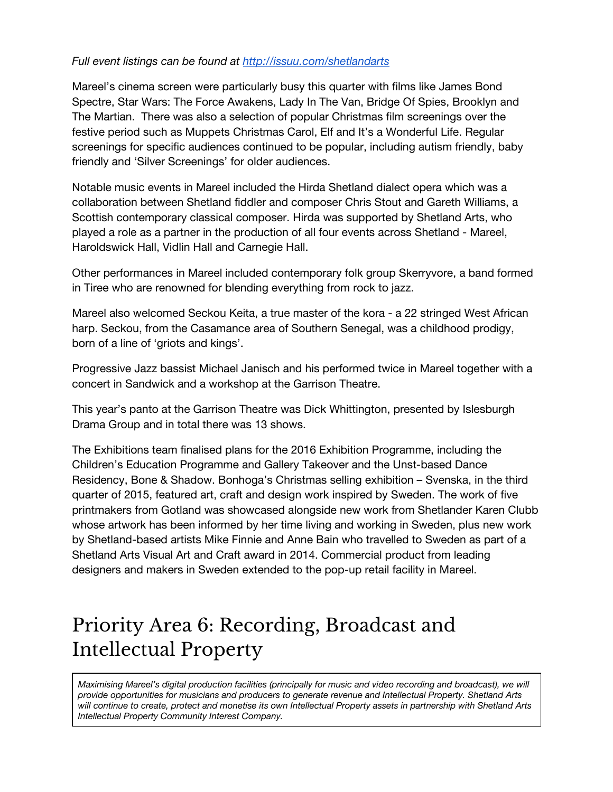#### *Full event listings can be found at <http://issuu.com/shetlandarts>*

Mareel's cinema screen were particularly busy this quarter with films like James Bond Spectre, Star Wars: The Force Awakens, Lady In The Van, Bridge Of Spies, Brooklyn and The Martian. There was also a selection of popular Christmas film screenings over the festive period such as Muppets Christmas Carol, Elf and It's a Wonderful Life. Regular screenings for specific audiences continued to be popular, including autism friendly, baby friendly and 'Silver Screenings' for older audiences.

Notable music events in Mareel included the Hirda Shetland dialect opera which was a collaboration between Shetland fiddler and composer Chris Stout and Gareth Williams, a Scottish contemporary classical composer. Hirda was supported by Shetland Arts, who played a role as a partner in the production of all four events across Shetland - Mareel, Haroldswick Hall, Vidlin Hall and Carnegie Hall.

Other performances in Mareel included contemporary folk group Skerryvore, a band formed in Tiree who are renowned for blending everything from rock to jazz.

Mareel also welcomed Seckou Keita, a true master of the kora - a 22 stringed West African harp. Seckou, from the Casamance area of Southern Senegal, was a childhood prodigy, born of a line of 'griots and kings'.

Progressive Jazz bassist Michael Janisch and his performed twice in Mareel together with a concert in Sandwick and a workshop at the Garrison Theatre.

This year's panto at the Garrison Theatre was Dick Whittington, presented by Islesburgh Drama Group and in total there was 13 shows.

The Exhibitions team finalised plans for the 2016 Exhibition Programme, including the Children's Education Programme and Gallery Takeover and the Unst-based Dance Residency, Bone & Shadow. Bonhoga's Christmas selling exhibition – Svenska, in the third quarter of 2015, featured art, craft and design work inspired by Sweden. The work of five printmakers from Gotland was showcased alongside new work from Shetlander Karen Clubb whose artwork has been informed by her time living and working in Sweden, plus new work by Shetland-based artists Mike Finnie and Anne Bain who travelled to Sweden as part of a Shetland Arts Visual Art and Craft award in 2014. Commercial product from leading designers and makers in Sweden extended to the pop-up retail facility in Mareel.

## Priority Area 6: Recording, Broadcast and Intellectual Property

*Maximising Mareel's digital production facilities (principally for music and video recording and broadcast), we will provide opportunities for musicians and producers to generate revenue and Intellectual Property. Shetland Arts* will continue to create, protect and monetise its own Intellectual Property assets in partnership with Shetland Arts *Intellectual Property Community Interest Company.*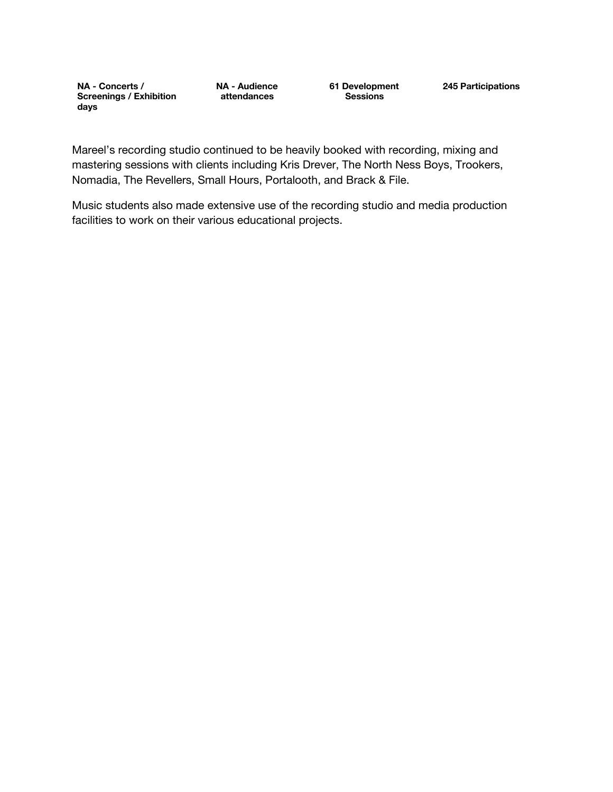**NA - Concerts / Screenings / Exhibition days**

**NA - Audience attendances**

**61 Development Sessions**

**245 Participations**

Mareel's recording studio continued to be heavily booked with recording, mixing and mastering sessions with clients including Kris Drever, The North Ness Boys, Trookers, Nomadia, The Revellers, Small Hours, Portalooth, and Brack & File.

Music students also made extensive use of the recording studio and media production facilities to work on their various educational projects.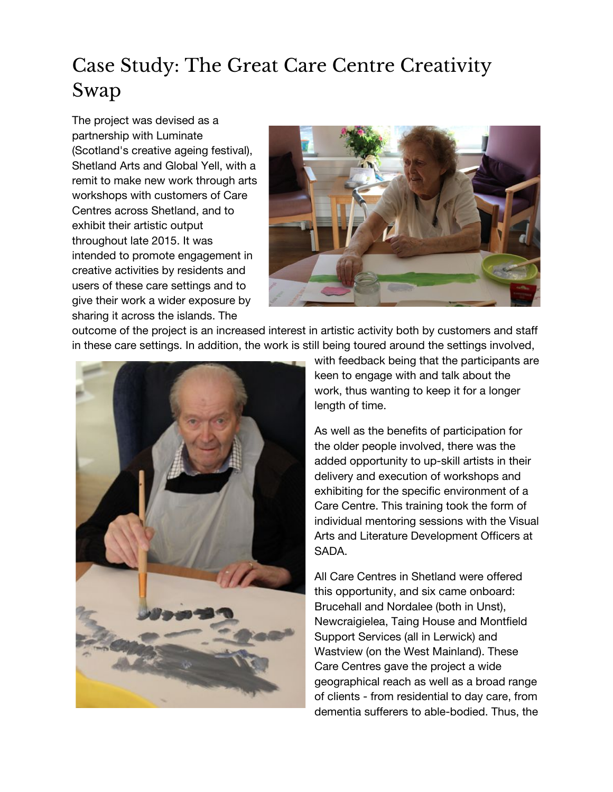## Case Study: The Great Care Centre Creativity Swap

The project was devised as a partnership with Luminate (Scotland's creative ageing festival), Shetland Arts and Global Yell, with a remit to make new work through arts workshops with customers of Care Centres across Shetland, and to exhibit their artistic output throughout late 2015. It was intended to promote engagement in creative activities by residents and users of these care settings and to give their work a wider exposure by sharing it across the islands. The



outcome of the project is an increased interest in artistic activity both by customers and staff in these care settings. In addition, the work is still being toured around the settings involved,



with feedback being that the participants are keen to engage with and talk about the work, thus wanting to keep it for a longer length of time.

As well as the benefits of participation for the older people involved, there was the added opportunity to up-skill artists in their delivery and execution of workshops and exhibiting for the specific environment of a Care Centre. This training took the form of individual mentoring sessions with the Visual Arts and Literature Development Officers at SADA.

All Care Centres in Shetland were offered this opportunity, and six came onboard: Brucehall and Nordalee (both in Unst), Newcraigielea, Taing House and Montfield Support Services (all in Lerwick) and Wastview (on the West Mainland). These Care Centres gave the project a wide geographical reach as well as a broad range of clients - from residential to day care, from dementia sufferers to able-bodied. Thus, the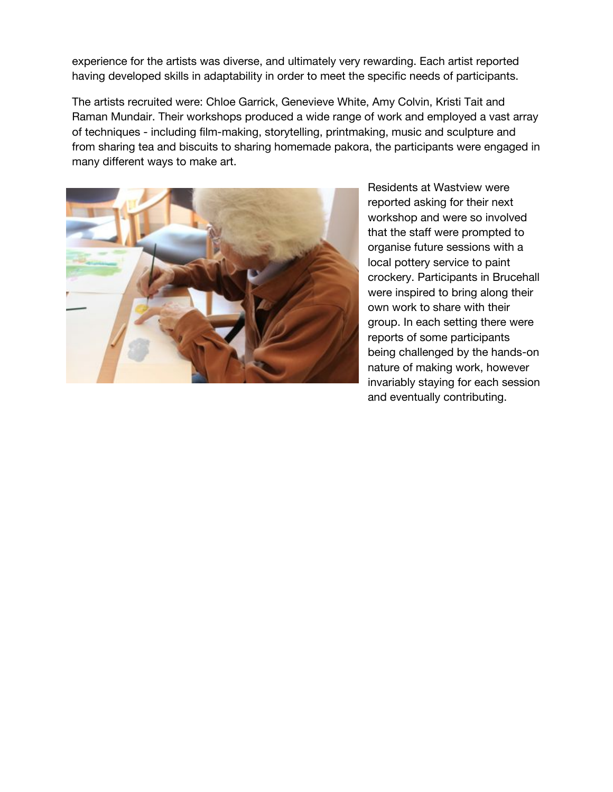experience for the artists was diverse, and ultimately very rewarding. Each artist reported having developed skills in adaptability in order to meet the specific needs of participants.

The artists recruited were: Chloe Garrick, Genevieve White, Amy Colvin, Kristi Tait and Raman Mundair. Their workshops produced a wide range of work and employed a vast array of techniques - including film-making, storytelling, printmaking, music and sculpture and from sharing tea and biscuits to sharing homemade pakora, the participants were engaged in many different ways to make art.



Residents at Wastview were reported asking for their next workshop and were so involved that the staff were prompted to organise future sessions with a local pottery service to paint crockery. Participants in Brucehall were inspired to bring along their own work to share with their group. In each setting there were reports of some participants being challenged by the hands-on nature of making work, however invariably staying for each session and eventually contributing.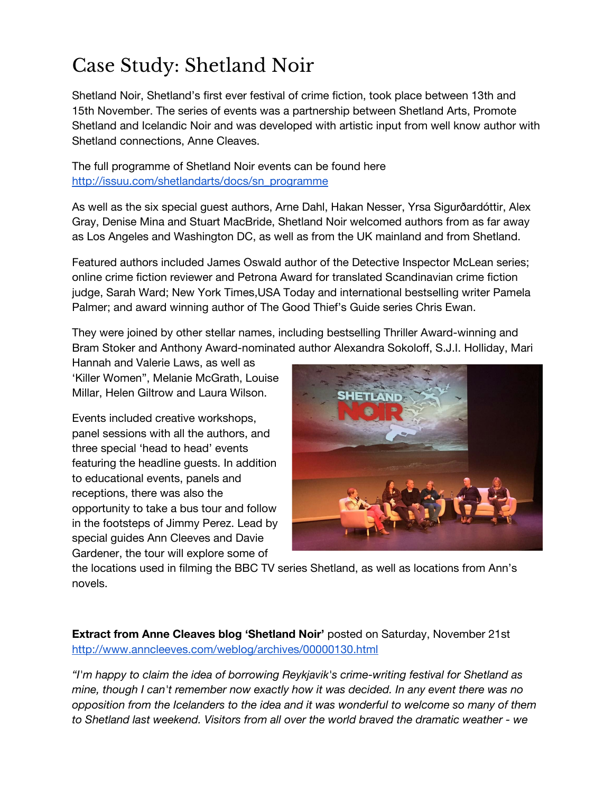# Case Study: Shetland Noir

Shetland Noir, Shetland's first ever festival of crime fiction, took place between 13th and 15th November. The series of events was a partnership between Shetland Arts, Promote Shetland and Icelandic Noir and was developed with artistic input from well know author with Shetland connections, Anne Cleaves.

The full programme of Shetland Noir events can be found here [http://issuu.com/shetlandarts/docs/sn\\_programme](http://issuu.com/shetlandarts/docs/sn_programme)

As well as the six special guest authors, Arne Dahl, Hakan Nesser, Yrsa Sigurðardóttir, Alex Gray, Denise Mina and Stuart MacBride, Shetland Noir welcomed authors from as far away as Los Angeles and Washington DC, as well as from the UK mainland and from Shetland.

Featured authors included James Oswald author of the Detective Inspector McLean series; online crime fiction reviewer and Petrona Award for translated Scandinavian crime fiction judge, Sarah Ward; New York Times,USA Today and international bestselling writer Pamela Palmer; and award winning author of The Good Thief's Guide series Chris Ewan.

They were joined by other stellar names, including bestselling Thriller Award-winning and Bram Stoker and Anthony Award-nominated author Alexandra Sokoloff, S.J.I. Holliday, Mari

Hannah and Valerie Laws, as well as 'Killer Women", Melanie McGrath, Louise Millar, Helen Giltrow and Laura Wilson.

Events included creative workshops, panel sessions with all the authors, and three special 'head to head' events featuring the headline guests. In addition to educational events, panels and receptions, there was also the opportunity to take a bus tour and follow in the footsteps of Jimmy Perez. Lead by special guides Ann Cleeves and Davie Gardener, the tour will explore some of



the locations used in filming the BBC TV series Shetland, as well as locations from Ann's novels.

**Extract from Anne Cleaves blog 'Shetland Noir'** posted on Saturday, November 21st <http://www.anncleeves.com/weblog/archives/00000130.html>

*"I'm happy to claim the idea of borrowing Reykjavik's crime-writing festival for Shetland as mine, though I can't remember now exactly how it was decided. In any event there was no opposition from the Icelanders to the idea and it was wonderful to welcome so many of them to Shetland last weekend. Visitors from all over the world braved the dramatic weather - we*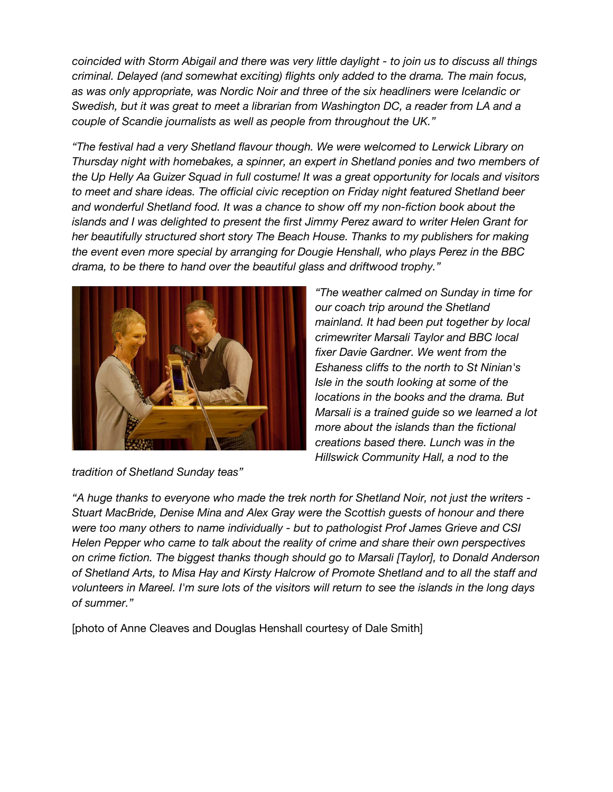*coincided with Storm Abigail and there was very little daylight - to join us to discuss all things criminal. Delayed (and somewhat exciting) flights only added to the drama. The main focus, as was only appropriate, was Nordic Noir and three of the six headliners were Icelandic or Swedish, but it was great to meet a librarian from Washington DC, a reader from LA and a couple of Scandie journalists as well as people from throughout the UK."*

*"The festival had a very Shetland flavour though. We were welcomed to Lerwick Library on Thursday night with homebakes, a spinner, an expert in Shetland ponies and two members of the Up Helly Aa Guizer Squad in full costume! It was a great opportunity for locals and visitors to meet and share ideas. The official civic reception on Friday night featured Shetland beer and wonderful Shetland food. It was a chance to show off my non-fiction book about the islands and I was delighted to present the first Jimmy Perez award to writer Helen Grant for her beautifully structured short story The Beach House. Thanks to my publishers for making the event even more special by arranging for Dougie Henshall, who plays Perez in the BBC drama, to be there to hand over the beautiful glass and driftwood trophy."*



*"The weather calmed on Sunday in time for our coach trip around the Shetland mainland. It had been put together by local crimewriter Marsali Taylor and BBC local fixer Davie Gardner. We went from the Eshaness cliffs to the north to St Ninian's Isle in the south looking at some of the locations in the books and the drama. But Marsali is a trained guide so we learned a lot more about the islands than the fictional creations based there. Lunch was in the Hillswick Community Hall, a nod to the*

*tradition of Shetland Sunday teas"*

*"A huge thanks to everyone who made the trek north for Shetland Noir, not just the writers - Stuart MacBride, Denise Mina and Alex Gray were the Scottish guests of honour and there were too many others to name individually - but to pathologist Prof James Grieve and CSI Helen Pepper who came to talk about the reality of crime and share their own perspectives on crime fiction. The biggest thanks though should go to Marsali [Taylor], to Donald Anderson of Shetland Arts, to Misa Hay and Kirsty Halcrow of Promote Shetland and to all the staff and* volunteers in Mareel. I'm sure lots of the visitors will return to see the islands in the long days *of summer."*

[photo of Anne Cleaves and Douglas Henshall courtesy of Dale Smith]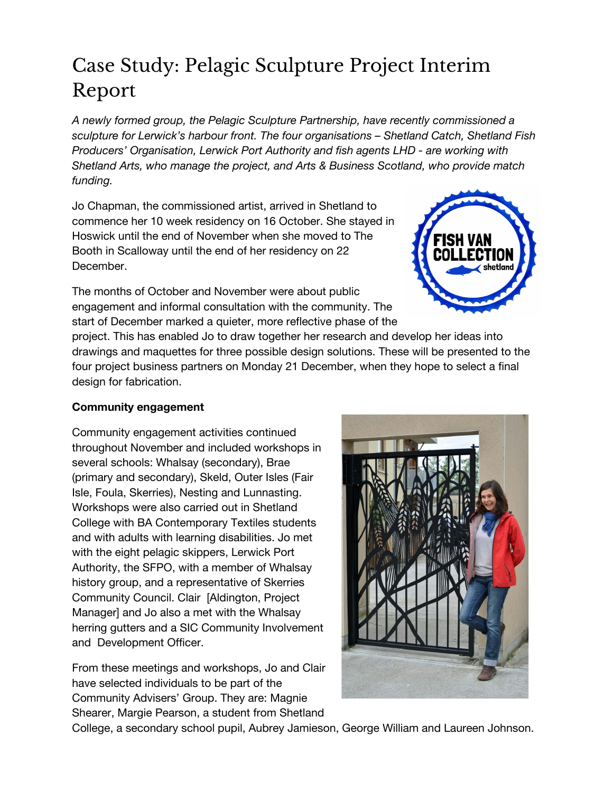## Case Study: Pelagic Sculpture Project Interim Report

*A newly formed group, the Pelagic Sculpture Partnership, have recently commissioned a sculpture for Lerwick's harbour front. The four organisations – Shetland Catch, Shetland Fish Producers' Organisation, Lerwick Port Authority and fish agents LHD - are working with Shetland Arts, who manage the project, and Arts & Business Scotland, who provide match funding.*

Jo Chapman, the commissioned artist, arrived in Shetland to commence her 10 week residency on 16 October. She stayed in Hoswick until the end of November when she moved to The Booth in Scalloway until the end of her residency on 22 December.

The months of October and November were about public engagement and informal consultation with the community. The start of December marked a quieter, more reflective phase of the



project. This has enabled Jo to draw together her research and develop her ideas into drawings and maquettes for three possible design solutions. These will be presented to the four project business partners on Monday 21 December, when they hope to select a final design for fabrication.

#### **Community engagement**

Community engagement activities continued throughout November and included workshops in several schools: Whalsay (secondary), Brae (primary and secondary), Skeld, Outer Isles (Fair Isle, Foula, Skerries), Nesting and Lunnasting. Workshops were also carried out in Shetland College with BA Contemporary Textiles students and with adults with learning disabilities. Jo met with the eight pelagic skippers, Lerwick Port Authority, the SFPO, with a member of Whalsay history group, and a representative of Skerries Community Council. Clair [Aldington, Project Manager] and Jo also a met with the Whalsay herring gutters and a SIC Community Involvement and Development Officer.

From these meetings and workshops, Jo and Clair have selected individuals to be part of the Community Advisers' Group. They are: Magnie Shearer, Margie Pearson, a student from Shetland



College, a secondary school pupil, Aubrey Jamieson, George William and Laureen Johnson.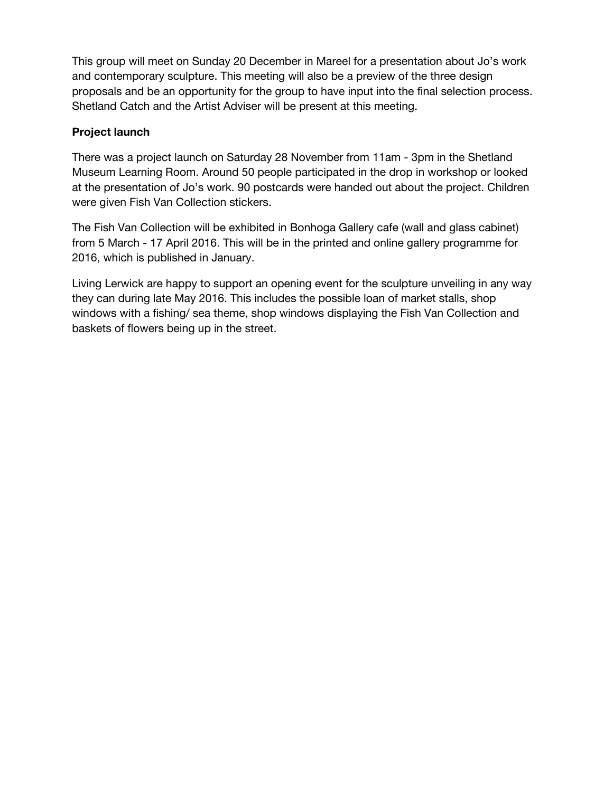This group will meet on Sunday 20 December in Mareel for a presentation about Jo's work and contemporary sculpture. This meeting will also be a preview of the three design proposals and be an opportunity for the group to have input into the final selection process. Shetland Catch and the Artist Adviser will be present at this meeting.

#### **Project launch**

There was a project launch on Saturday 28 November from 11am - 3pm in the Shetland Museum Learning Room. Around 50 people participated in the drop in workshop or looked at the presentation of Jo's work. 90 postcards were handed out about the project. Children were given Fish Van Collection stickers.

The Fish Van Collection will be exhibited in Bonhoga Gallery cafe (wall and glass cabinet) from 5 March - 17 April 2016. This will be in the printed and online gallery programme for 2016, which is published in January.

Living Lerwick are happy to support an opening event for the sculpture unveiling in any way they can during late May 2016. This includes the possible loan of market stalls, shop windows with a fishing/ sea theme, shop windows displaying the Fish Van Collection and baskets of flowers being up in the street.